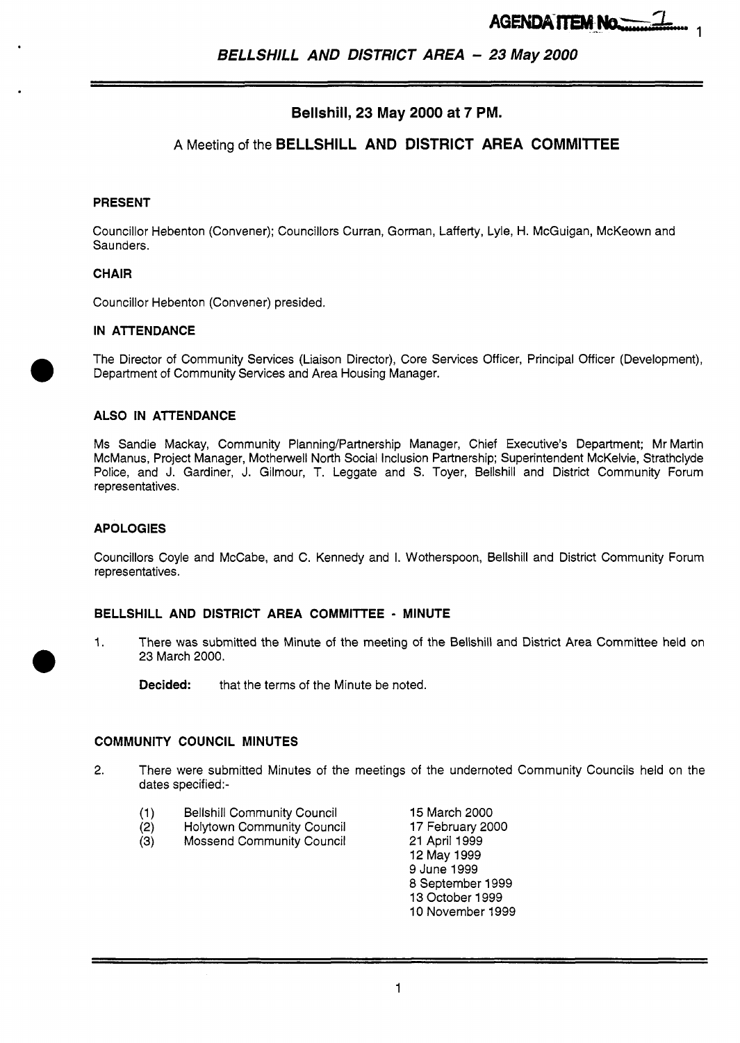# **Bellshill, 23 May 2000 at 7 PM.**

## **A** Meeting of the **BELLSHILL AND DISTRICT AREA COMMllTEE**

## **PRESENT**

Councillor Hebenton (Convener); Councillors Curran, Gorman, Lafferty, Lyle, H. McGuigan, McKeown and Saunders.

## **CHAIR**

Councillor Hebenton (Convener) presided.

## **IN ATTENDANCE**

The Director of Community Services (Liaison Director), Core Services Officer, Principal Officer (Development), Department of Community Services and Area Housing Manager.

## **ALSO IN ATTENDANCE**

Ms Sandie Mackay, Community Planning/Partnership Manager, Chief Executive's Department; Mr Martin McManus, Project Manager, Motherwell North Social Inclusion Partnership; Superintendent McKelvie, Strathclyde Police, and J. Gardiner, J. Gilmour, T. Leggate and *S.* Toyer, Bellshill and District Community Forum representatives.

#### **APOLOGIES**

Councillors Coyle and McCabe, and C. Kennedy and I. Wotherspoon, Bellshill and District Community Forum representatives.

## **BELLSHILL AND DISTRICT AREA COMMITTEE** - **MINUTE**

1. There was submitted the Minute of the meeting of the Bellshill and District Area Committee held on 23 March 2000.

**Decided:** that the terms of the Minute be noted.

#### **COMMUNITY COUNCIL MINUTES**

- 2. There were submitted Minutes of the meetings of the undernoted Community Councils held on the dates specified:-
	- (1) Bellshill Community Council 15 March 2000
	- (2) Holytown Community Council 17 February 2000<br>(3) Mossend Community Council 21 April 1999
	- **Mossend Community Council**

12 May 1999 9 June 1999 8 September 1999 13 October 1999 10 November 1999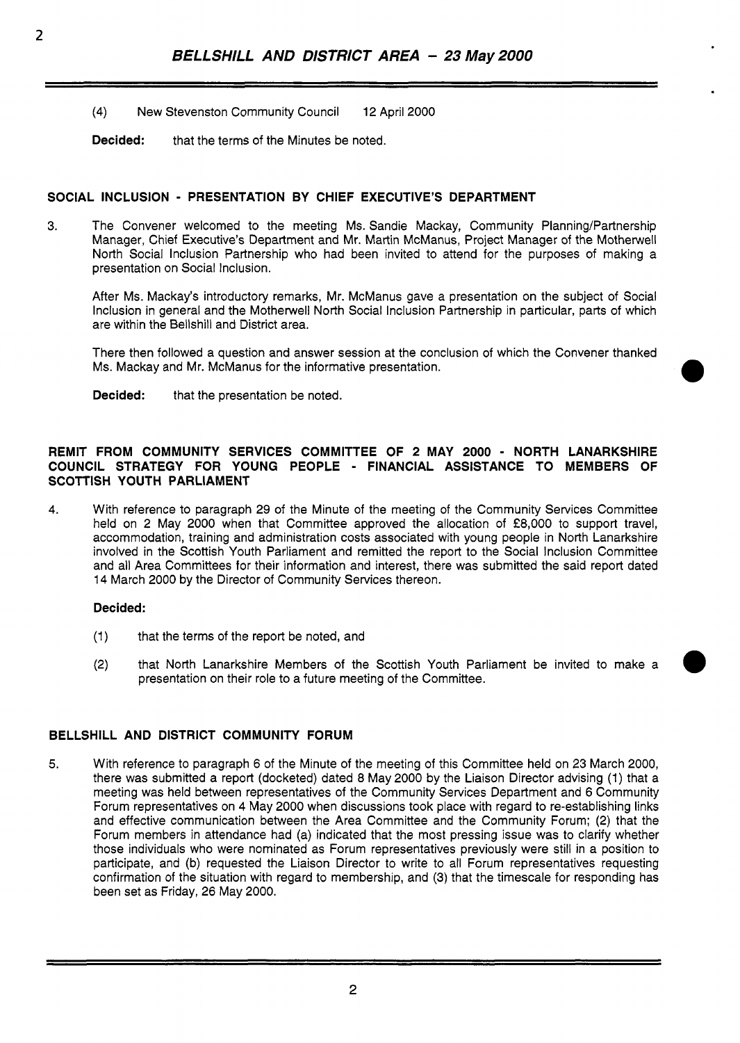**(4)** New Stevenston Community Council 12 April 2000

**Decided:** that the terms of the Minutes be noted.

## **SOCIAL INCLUSION** - **PRESENTATION BY CHIEF EXECUTIVE'S DEPARTMENT**

3. The Convener welcomed to the meeting Ms. Sandie Mackay, Community Planning/Partnership Manager, Chief Executive's Department and Mr. Martin McManus, Project Manager of the Motherwell North Social Inclusion Partnership who had been invited to attend for the purposes of making a presentation on Social Inclusion.

After Ms. Mackay's introductory remarks, Mr. McManus gave a presentation on the subject of Social Inclusion in general and the Motherwell North Social Inclusion Partnership in particular, parts of which are within the Bellshill and District area.

There then followed a question and answer session at the conclusion of which the Convener thanked Ms. Mackay and Mr. McManus for the informative presentation.

**Decided:** that the presentation be noted.

## **REMIT FROM COMMUNITY SERVICES COMMITTEE OF 2 MAY 2000** - **NORTH LANARKSHIRE COUNCIL STRATEGY FOR YOUNG PEOPLE** - **FINANCIAL ASSISTANCE TO MEMBERS OF SCOTTISH YOUTH PARLIAMENT**

**4.** With reference to paragraph 29 of the Minute of the meeting of the Community Services Committee held on 2 May 2000 when that Committee approved the allocation of *f8,000* to support travel, accommodation, training and administration costs associated with young people in North Lanarkshire involved in the Scottish Youth Parliament and remitted the report to the Social Inclusion Committee and all Area Committees for their information and interest, there was submitted the said report dated 14 March 2000 by the Director of Community Services thereon.

## **Decided:**

- (1) that the terms of the report be noted, and
- **(2)** that North Lanarkshire Members of the Scottish Youth Parliament be invited to make a presentation on their role to a future meeting of the Committee.

## **BELLSHILL AND DISTRICT COMMUNITY FORUM**

**5.** With reference to paragraph 6 of the Minute of the meeting of this Committee held on 23 March 2000, there was submitted a report (docketed) dated 8 May 2000 by the Liaison Director advising (1) that a meeting was held between representatives of the Community Services Department and 6 Community Forum representatives on **4** May 2000 when discussions took place with regard to re-establishing links and effective communication between the Area Committee and the Community Forum; (2) that the Forum members in attendance had (a) indicated that the most pressing issue was to clarify whether those individuals who were nominated as Forum representatives previously were still in a position to participate, and (b) requested the Liaison Director to write to all Forum representatives requesting confirmation of the situation with regard to membership, and (3) that the timescale for responding has been set as Friday, 26 May 2000.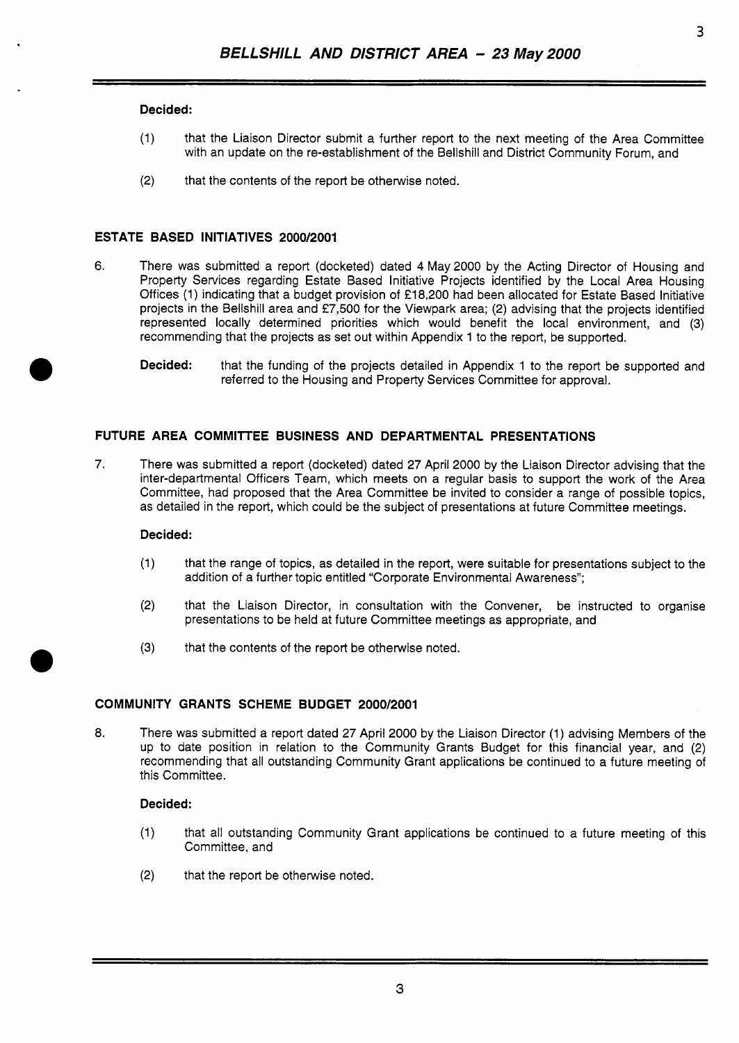## **Decided:**

- (1) that the Liaison Director submit a further report to the next meeting of the Area Committee with an update on the re-establishment of the Bellshill and District Community Forum, and
- (2) that the contents of the report be otherwise noted.

## **ESTATE BASED INITIATIVES 2000/2001**

- **6.** There was submitted a report (docketed) dated **4** May2000 by the Acting Director of Housing and Property Services regarding Estate Based Initiative Projects identified by the Local Area Housing Offices (1) indicating that a budget provision of €18,200 had been allocated for Estate Based Initiative projects in the Bellshill area and £7,500 for the Viewpark area; (2) advising that the projects identified represented locally determined priorities which would benefit the local environment, and (3) recommending that the projects as set out within Appendix 1 to the report, be supported.
	- **Decided:** that the funding of the projects detailed in Appendix 1 to the report be supported and referred to the Housing and Property Services Committee for approval.

## **FUTURE AREA COMMllTEE BUSINESS AND DEPARTMENTAL PRESENTATIONS**

7. There was submitted a report (docketed) dated 27 April 2000 by the Liaison Director advising that the inter-departmental Officers Team, which meets on a regular basis to support the work of the Area Committee, had proposed that the Area Committee be invited to consider a range of possible topics, as detailed in the report, which could be the subject of presentations at future Committee meetings.

#### **Decided** :

- (1) that the range of topics, as detailed in the report, were suitable for presentations subject to the addition of a further topic entitled "Corporate Environmental Awareness";
- (2) that the Liaison Director, in consultation with the Convener, be instructed to organise presentations to be held at future Committee meetings as appropriate, and
- **(3)** that the contents of the report be otherwise noted.

## **COMMUNITY GRANTS SCHEME BUDGET 2000/2001**

*8.* There was submitted a report dated 27 April 2000 by the Liaison Director (1) advising Members of the up to date position in relation to the Community Grants Budget for this financial year, and (2) recommending that all outstanding Community Grant applications be continued to a future meeting of this committee.

## **Decided:**

- (1) that all outstanding Community Grant applications be continued to a future meeting of this Committee, and
- (2) that the report be otherwise noted.